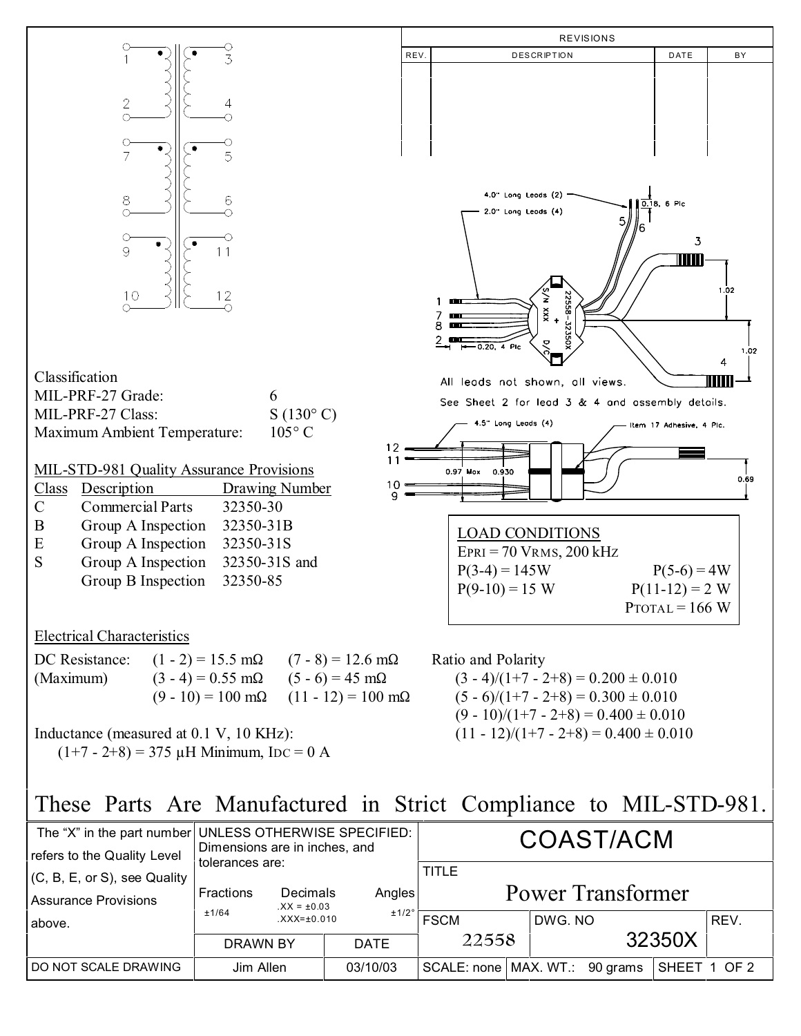

Group A Inspection 32350-31S and Group B Inspection 32350-85

## Electrical Characteristics

|           | DC Resistance: $(1 - 2) = 15.5$ m $\Omega$ $(7 - 8) = 12.6$ m $\Omega$ |                                      |
|-----------|------------------------------------------------------------------------|--------------------------------------|
| (Maximum) | $(3-4) = 0.55$ m $\Omega$ $(5-6) = 45$ m $\Omega$                      |                                      |
|           |                                                                        | $(9-10) = 100$ mΩ $(11-12) = 100$ mΩ |

Inductance (measured at 0.1 V, 10 KHz):  $(1+7 - 2+8) = 375 \mu H$  Minimum, IDC = 0 A



Ratio and Polarity  $(3 - 4)/(1 + 7 - 2 + 8) = 0.200 \pm 0.010$ 

 $(5 - 6)/(1 + 7 - 2 + 8) = 0.300 \pm 0.010$  $(9 - 10)/(1 + 7 - 2 + 8) = 0.400 \pm 0.010$  $(11 - 12)/(1 + 7 - 2 + 8) = 0.400 \pm 0.010$ 

## These Parts Are Manufactured in Strict Compliance to MIL-STD-981.

| refers to the Quality Level                             | The "X" in the part number UNLESS OTHERWISE SPECIFIED:<br>Dimensions are in inches, and |                             |             | COAST/ACM                                |  |         |  |              |      |
|---------------------------------------------------------|-----------------------------------------------------------------------------------------|-----------------------------|-------------|------------------------------------------|--|---------|--|--------------|------|
| $(C, B, E, or S)$ , see Quality<br>Assurance Provisions | tolerances are:<br>Fractions                                                            | Decimals<br>$XX = \pm 0.03$ | Angles      | <b>TITLE</b><br><b>Power Transformer</b> |  |         |  |              |      |
| above.                                                  | ±1/64                                                                                   | $XXX = \pm 0.010$           | ±1/2°       | <b>FSCM</b>                              |  | DWG. NO |  |              | REV. |
|                                                         | <b>DRAWN BY</b>                                                                         |                             | <b>DATE</b> | 22558                                    |  | 32350X  |  |              |      |
| I DO NOT SCALE DRAWING                                  | Jim Allen                                                                               |                             | 03/10/03    | SCALE: none   MAX. WT.: 90 grams         |  |         |  | SHEET 1 OF 2 |      |